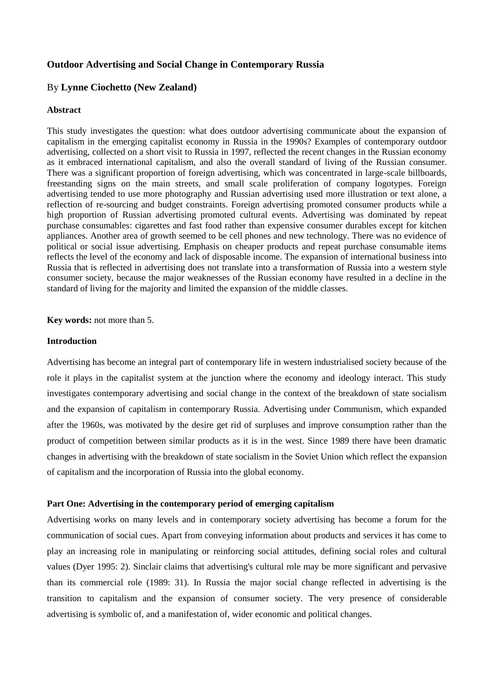# **Outdoor Advertising and Social Change in Contemporary Russia**

## By **Lynne Ciochetto (New Zealand)**

### **Abstract**

This study investigates the question: what does outdoor advertising communicate about the expansion of capitalism in the emerging capitalist economy in Russia in the 1990s? Examples of contemporary outdoor advertising, collected on a short visit to Russia in 1997, reflected the recent changes in the Russian economy as it embraced international capitalism, and also the overall standard of living of the Russian consumer. There was a significant proportion of foreign advertising, which was concentrated in large-scale billboards, freestanding signs on the main streets, and small scale proliferation of company logotypes. Foreign advertising tended to use more photography and Russian advertising used more illustration or text alone, a reflection of re-sourcing and budget constraints. Foreign advertising promoted consumer products while a high proportion of Russian advertising promoted cultural events. Advertising was dominated by repeat purchase consumables: cigarettes and fast food rather than expensive consumer durables except for kitchen appliances. Another area of growth seemed to be cell phones and new technology. There was no evidence of political or social issue advertising. Emphasis on cheaper products and repeat purchase consumable items reflects the level of the economy and lack of disposable income. The expansion of international business into Russia that is reflected in advertising does not translate into a transformation of Russia into a western style consumer society, because the major weaknesses of the Russian economy have resulted in a decline in the standard of living for the majority and limited the expansion of the middle classes.

**Key words:** not more than 5.

# **Introduction**

Advertising has become an integral part of contemporary life in western industrialised society because of the role it plays in the capitalist system at the junction where the economy and ideology interact. This study investigates contemporary advertising and social change in the context of the breakdown of state socialism and the expansion of capitalism in contemporary Russia. Advertising under Communism, which expanded after the 1960s, was motivated by the desire get rid of surpluses and improve consumption rather than the product of competition between similar products as it is in the west. Since 1989 there have been dramatic changes in advertising with the breakdown of state socialism in the Soviet Union which reflect the expansion of capitalism and the incorporation of Russia into the global economy.

## **Part One: Advertising in the contemporary period of emerging capitalism**

Advertising works on many levels and in contemporary society advertising has become a forum for the communication of social cues. Apart from conveying information about products and services it has come to play an increasing role in manipulating or reinforcing social attitudes, defining social roles and cultural values (Dyer 1995: 2). Sinclair claims that advertising's cultural role may be more significant and pervasive than its commercial role (1989: 31). In Russia the major social change reflected in advertising is the transition to capitalism and the expansion of consumer society. The very presence of considerable advertising is symbolic of, and a manifestation of, wider economic and political changes.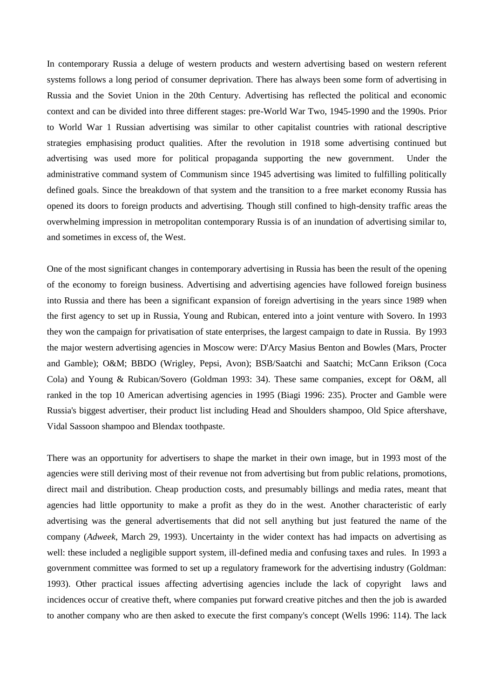In contemporary Russia a deluge of western products and western advertising based on western referent systems follows a long period of consumer deprivation. There has always been some form of advertising in Russia and the Soviet Union in the 20th Century. Advertising has reflected the political and economic context and can be divided into three different stages: pre-World War Two, 1945-1990 and the 1990s. Prior to World War 1 Russian advertising was similar to other capitalist countries with rational descriptive strategies emphasising product qualities. After the revolution in 1918 some advertising continued but advertising was used more for political propaganda supporting the new government. Under the administrative command system of Communism since 1945 advertising was limited to fulfilling politically defined goals. Since the breakdown of that system and the transition to a free market economy Russia has opened its doors to foreign products and advertising. Though still confined to high-density traffic areas the overwhelming impression in metropolitan contemporary Russia is of an inundation of advertising similar to, and sometimes in excess of, the West.

One of the most significant changes in contemporary advertising in Russia has been the result of the opening of the economy to foreign business. Advertising and advertising agencies have followed foreign business into Russia and there has been a significant expansion of foreign advertising in the years since 1989 when the first agency to set up in Russia, Young and Rubican, entered into a joint venture with Sovero. In 1993 they won the campaign for privatisation of state enterprises, the largest campaign to date in Russia. By 1993 the major western advertising agencies in Moscow were: D'Arcy Masius Benton and Bowles (Mars, Procter and Gamble); O&M; BBDO (Wrigley, Pepsi, Avon); BSB/Saatchi and Saatchi; McCann Erikson (Coca Cola) and Young & Rubican/Sovero (Goldman 1993: 34). These same companies, except for O&M, all ranked in the top 10 American advertising agencies in 1995 (Biagi 1996: 235). Procter and Gamble were Russia's biggest advertiser, their product list including Head and Shoulders shampoo, Old Spice aftershave, Vidal Sassoon shampoo and Blendax toothpaste.

There was an opportunity for advertisers to shape the market in their own image, but in 1993 most of the agencies were still deriving most of their revenue not from advertising but from public relations, promotions, direct mail and distribution. Cheap production costs, and presumably billings and media rates, meant that agencies had little opportunity to make a profit as they do in the west. Another characteristic of early advertising was the general advertisements that did not sell anything but just featured the name of the company (*Adweek*, March 29, 1993). Uncertainty in the wider context has had impacts on advertising as well: these included a negligible support system, ill-defined media and confusing taxes and rules. In 1993 a government committee was formed to set up a regulatory framework for the advertising industry (Goldman: 1993). Other practical issues affecting advertising agencies include the lack of copyright laws and incidences occur of creative theft, where companies put forward creative pitches and then the job is awarded to another company who are then asked to execute the first company's concept (Wells 1996: 114). The lack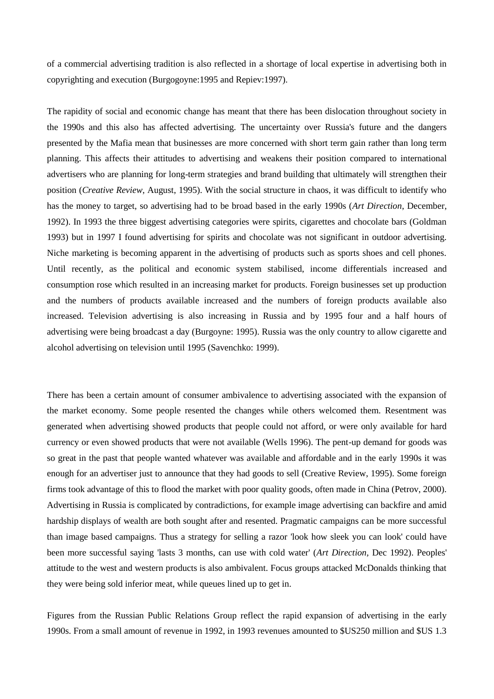of a commercial advertising tradition is also reflected in a shortage of local expertise in advertising both in copyrighting and execution (Burgogoyne:1995 and Repiev:1997).

The rapidity of social and economic change has meant that there has been dislocation throughout society in the 1990s and this also has affected advertising. The uncertainty over Russia's future and the dangers presented by the Mafia mean that businesses are more concerned with short term gain rather than long term planning. This affects their attitudes to advertising and weakens their position compared to international advertisers who are planning for long-term strategies and brand building that ultimately will strengthen their position (*Creative Review*, August, 1995). With the social structure in chaos, it was difficult to identify who has the money to target, so advertising had to be broad based in the early 1990s (*Art Direction*, December, 1992). In 1993 the three biggest advertising categories were spirits, cigarettes and chocolate bars (Goldman 1993) but in 1997 I found advertising for spirits and chocolate was not significant in outdoor advertising. Niche marketing is becoming apparent in the advertising of products such as sports shoes and cell phones. Until recently, as the political and economic system stabilised, income differentials increased and consumption rose which resulted in an increasing market for products. Foreign businesses set up production and the numbers of products available increased and the numbers of foreign products available also increased. Television advertising is also increasing in Russia and by 1995 four and a half hours of advertising were being broadcast a day (Burgoyne: 1995). Russia was the only country to allow cigarette and alcohol advertising on television until 1995 (Savenchko: 1999).

There has been a certain amount of consumer ambivalence to advertising associated with the expansion of the market economy. Some people resented the changes while others welcomed them. Resentment was generated when advertising showed products that people could not afford, or were only available for hard currency or even showed products that were not available (Wells 1996). The pent-up demand for goods was so great in the past that people wanted whatever was available and affordable and in the early 1990s it was enough for an advertiser just to announce that they had goods to sell (Creative Review, 1995). Some foreign firms took advantage of this to flood the market with poor quality goods, often made in China (Petrov, 2000). Advertising in Russia is complicated by contradictions, for example image advertising can backfire and amid hardship displays of wealth are both sought after and resented. Pragmatic campaigns can be more successful than image based campaigns. Thus a strategy for selling a razor 'look how sleek you can look' could have been more successful saying 'lasts 3 months, can use with cold water' (*Art Direction,* Dec 1992). Peoples' attitude to the west and western products is also ambivalent. Focus groups attacked McDonalds thinking that they were being sold inferior meat, while queues lined up to get in.

Figures from the Russian Public Relations Group reflect the rapid expansion of advertising in the early 1990s. From a small amount of revenue in 1992, in 1993 revenues amounted to \$US250 million and \$US 1.3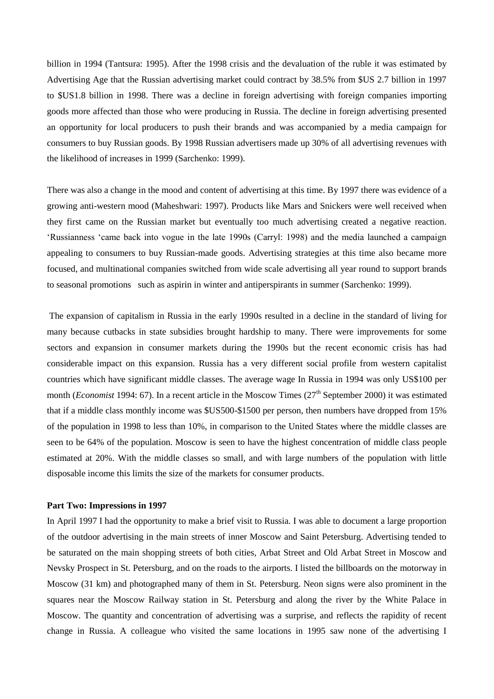billion in 1994 (Tantsura: 1995). After the 1998 crisis and the devaluation of the ruble it was estimated by Advertising Age that the Russian advertising market could contract by 38.5% from \$US 2.7 billion in 1997 to \$US1.8 billion in 1998. There was a decline in foreign advertising with foreign companies importing goods more affected than those who were producing in Russia. The decline in foreign advertising presented an opportunity for local producers to push their brands and was accompanied by a media campaign for consumers to buy Russian goods. By 1998 Russian advertisers made up 30% of all advertising revenues with the likelihood of increases in 1999 (Sarchenko: 1999).

There was also a change in the mood and content of advertising at this time. By 1997 there was evidence of a growing anti-western mood (Maheshwari: 1997). Products like Mars and Snickers were well received when they first came on the Russian market but eventually too much advertising created a negative reaction. 'Russianness 'came back into vogue in the late 1990s (Carryl: 1998) and the media launched a campaign appealing to consumers to buy Russian-made goods. Advertising strategies at this time also became more focused, and multinational companies switched from wide scale advertising all year round to support brands to seasonal promotions such as aspirin in winter and antiperspirants in summer (Sarchenko: 1999).

The expansion of capitalism in Russia in the early 1990s resulted in a decline in the standard of living for many because cutbacks in state subsidies brought hardship to many. There were improvements for some sectors and expansion in consumer markets during the 1990s but the recent economic crisis has had considerable impact on this expansion. Russia has a very different social profile from western capitalist countries which have significant middle classes. The average wage In Russia in 1994 was only US\$100 per month (*Economist* 1994: 67). In a recent article in the Moscow Times (27<sup>th</sup> September 2000) it was estimated that if a middle class monthly income was \$US500-\$1500 per person, then numbers have dropped from 15% of the population in 1998 to less than 10%, in comparison to the United States where the middle classes are seen to be 64% of the population. Moscow is seen to have the highest concentration of middle class people estimated at 20%. With the middle classes so small, and with large numbers of the population with little disposable income this limits the size of the markets for consumer products.

#### **Part Two: Impressions in 1997**

In April 1997 I had the opportunity to make a brief visit to Russia. I was able to document a large proportion of the outdoor advertising in the main streets of inner Moscow and Saint Petersburg. Advertising tended to be saturated on the main shopping streets of both cities, Arbat Street and Old Arbat Street in Moscow and Nevsky Prospect in St. Petersburg, and on the roads to the airports. I listed the billboards on the motorway in Moscow (31 km) and photographed many of them in St. Petersburg. Neon signs were also prominent in the squares near the Moscow Railway station in St. Petersburg and along the river by the White Palace in Moscow. The quantity and concentration of advertising was a surprise, and reflects the rapidity of recent change in Russia. A colleague who visited the same locations in 1995 saw none of the advertising I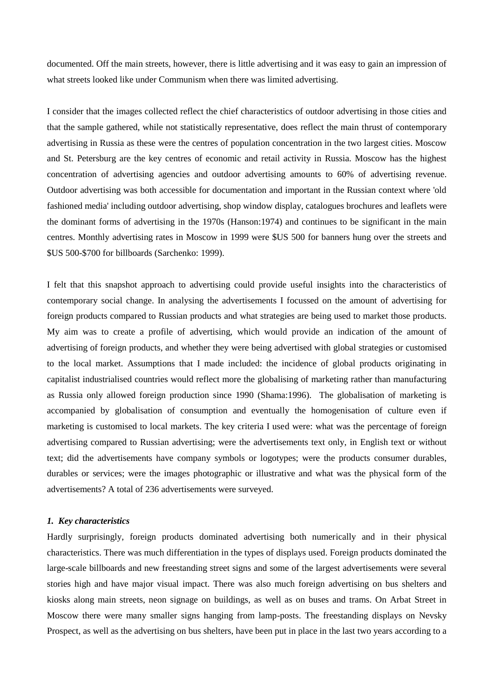documented. Off the main streets, however, there is little advertising and it was easy to gain an impression of what streets looked like under Communism when there was limited advertising.

I consider that the images collected reflect the chief characteristics of outdoor advertising in those cities and that the sample gathered, while not statistically representative, does reflect the main thrust of contemporary advertising in Russia as these were the centres of population concentration in the two largest cities. Moscow and St. Petersburg are the key centres of economic and retail activity in Russia. Moscow has the highest concentration of advertising agencies and outdoor advertising amounts to 60% of advertising revenue. Outdoor advertising was both accessible for documentation and important in the Russian context where 'old fashioned media' including outdoor advertising, shop window display, catalogues brochures and leaflets were the dominant forms of advertising in the 1970s (Hanson:1974) and continues to be significant in the main centres. Monthly advertising rates in Moscow in 1999 were \$US 500 for banners hung over the streets and \$US 500-\$700 for billboards (Sarchenko: 1999).

I felt that this snapshot approach to advertising could provide useful insights into the characteristics of contemporary social change. In analysing the advertisements I focussed on the amount of advertising for foreign products compared to Russian products and what strategies are being used to market those products. My aim was to create a profile of advertising, which would provide an indication of the amount of advertising of foreign products, and whether they were being advertised with global strategies or customised to the local market. Assumptions that I made included: the incidence of global products originating in capitalist industrialised countries would reflect more the globalising of marketing rather than manufacturing as Russia only allowed foreign production since 1990 (Shama:1996). The globalisation of marketing is accompanied by globalisation of consumption and eventually the homogenisation of culture even if marketing is customised to local markets. The key criteria I used were: what was the percentage of foreign advertising compared to Russian advertising; were the advertisements text only, in English text or without text; did the advertisements have company symbols or logotypes; were the products consumer durables, durables or services; were the images photographic or illustrative and what was the physical form of the advertisements? A total of 236 advertisements were surveyed.

#### *1. Key characteristics*

Hardly surprisingly, foreign products dominated advertising both numerically and in their physical characteristics. There was much differentiation in the types of displays used. Foreign products dominated the large-scale billboards and new freestanding street signs and some of the largest advertisements were several stories high and have major visual impact. There was also much foreign advertising on bus shelters and kiosks along main streets, neon signage on buildings, as well as on buses and trams. On Arbat Street in Moscow there were many smaller signs hanging from lamp-posts. The freestanding displays on Nevsky Prospect, as well as the advertising on bus shelters, have been put in place in the last two years according to a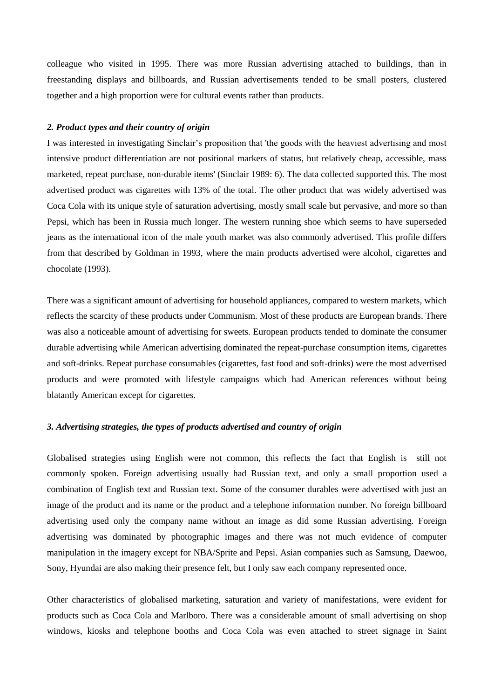colleague who visited in 1995. There was more Russian advertising attached to buildings, than in freestanding displays and billboards, and Russian advertisements tended to be small posters, clustered together and a high proportion were for cultural events rather than products.

#### *2. Product types and their country of origin*

I was interested in investigating Sinclair's proposition that 'the goods with the heaviest advertising and most intensive product differentiation are not positional markers of status, but relatively cheap, accessible, mass marketed, repeat purchase, non-durable items' (Sinclair 1989: 6). The data collected supported this. The most advertised product was cigarettes with 13% of the total. The other product that was widely advertised was Coca Cola with its unique style of saturation advertising, mostly small scale but pervasive, and more so than Pepsi, which has been in Russia much longer. The western running shoe which seems to have superseded jeans as the international icon of the male youth market was also commonly advertised. This profile differs from that described by Goldman in 1993, where the main products advertised were alcohol, cigarettes and chocolate (1993).

There was a significant amount of advertising for household appliances, compared to western markets, which reflects the scarcity of these products under Communism. Most of these products are European brands. There was also a noticeable amount of advertising for sweets. European products tended to dominate the consumer durable advertising while American advertising dominated the repeat-purchase consumption items, cigarettes and soft-drinks. Repeat purchase consumables (cigarettes, fast food and soft-drinks) were the most advertised products and were promoted with lifestyle campaigns which had American references without being blatantly American except for cigarettes.

### *3. Advertising strategies, the types of products advertised and country of origin*

Globalised strategies using English were not common, this reflects the fact that English is still not commonly spoken. Foreign advertising usually had Russian text, and only a small proportion used a combination of English text and Russian text. Some of the consumer durables were advertised with just an image of the product and its name or the product and a telephone information number. No foreign billboard advertising used only the company name without an image as did some Russian advertising. Foreign advertising was dominated by photographic images and there was not much evidence of computer manipulation in the imagery except for NBA/Sprite and Pepsi. Asian companies such as Samsung, Daewoo, Sony, Hyundai are also making their presence felt, but I only saw each company represented once.

Other characteristics of globalised marketing, saturation and variety of manifestations, were evident for products such as Coca Cola and Marlboro. There was a considerable amount of small advertising on shop windows, kiosks and telephone booths and Coca Cola was even attached to street signage in Saint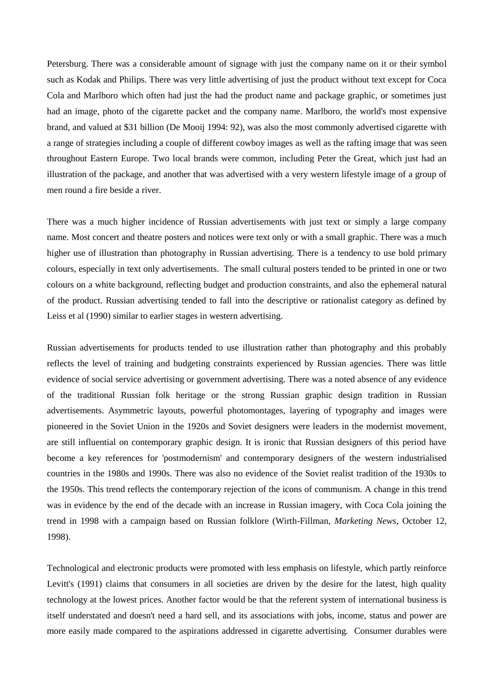Petersburg. There was a considerable amount of signage with just the company name on it or their symbol such as Kodak and Philips. There was very little advertising of just the product without text except for Coca Cola and Marlboro which often had just the had the product name and package graphic, or sometimes just had an image, photo of the cigarette packet and the company name. Marlboro, the world's most expensive brand, and valued at \$31 billion (De Mooij 1994: 92), was also the most commonly advertised cigarette with a range of strategies including a couple of different cowboy images as well as the rafting image that was seen throughout Eastern Europe. Two local brands were common, including Peter the Great, which just had an illustration of the package, and another that was advertised with a very western lifestyle image of a group of men round a fire beside a river.

There was a much higher incidence of Russian advertisements with just text or simply a large company name. Most concert and theatre posters and notices were text only or with a small graphic. There was a much higher use of illustration than photography in Russian advertising. There is a tendency to use bold primary colours, especially in text only advertisements. The small cultural posters tended to be printed in one or two colours on a white background, reflecting budget and production constraints, and also the ephemeral natural of the product. Russian advertising tended to fall into the descriptive or rationalist category as defined by Leiss et al (1990) similar to earlier stages in western advertising.

Russian advertisements for products tended to use illustration rather than photography and this probably reflects the level of training and budgeting constraints experienced by Russian agencies. There was little evidence of social service advertising or government advertising. There was a noted absence of any evidence of the traditional Russian folk heritage or the strong Russian graphic design tradition in Russian advertisements. Asymmetric layouts, powerful photomontages, layering of typography and images were pioneered in the Soviet Union in the 1920s and Soviet designers were leaders in the modernist movement, are still influential on contemporary graphic design. It is ironic that Russian designers of this period have become a key references for 'postmodernism' and contemporary designers of the western industrialised countries in the 1980s and 1990s. There was also no evidence of the Soviet realist tradition of the 1930s to the 1950s. This trend reflects the contemporary rejection of the icons of communism. A change in this trend was in evidence by the end of the decade with an increase in Russian imagery, with Coca Cola joining the trend in 1998 with a campaign based on Russian folklore (Wirth-Fillman, *Marketing News*, October 12, 1998).

Technological and electronic products were promoted with less emphasis on lifestyle, which partly reinforce Levitt's (1991) claims that consumers in all societies are driven by the desire for the latest, high quality technology at the lowest prices. Another factor would be that the referent system of international business is itself understated and doesn't need a hard sell, and its associations with jobs, income, status and power are more easily made compared to the aspirations addressed in cigarette advertising. Consumer durables were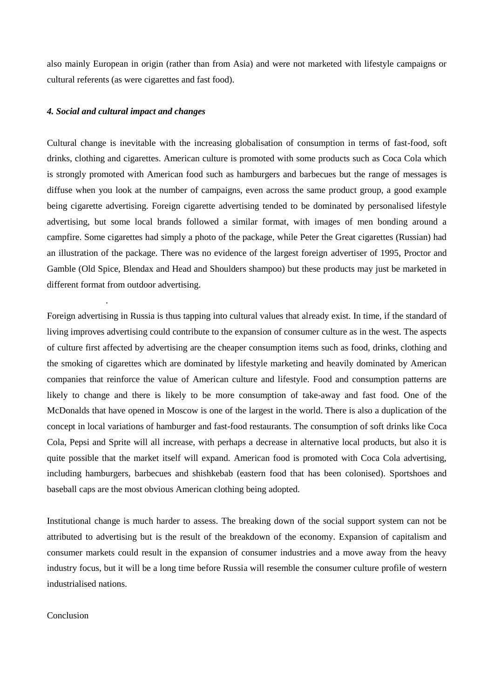also mainly European in origin (rather than from Asia) and were not marketed with lifestyle campaigns or cultural referents (as were cigarettes and fast food).

### *4. Social and cultural impact and changes*

.

Cultural change is inevitable with the increasing globalisation of consumption in terms of fast-food, soft drinks, clothing and cigarettes. American culture is promoted with some products such as Coca Cola which is strongly promoted with American food such as hamburgers and barbecues but the range of messages is diffuse when you look at the number of campaigns, even across the same product group, a good example being cigarette advertising. Foreign cigarette advertising tended to be dominated by personalised lifestyle advertising, but some local brands followed a similar format, with images of men bonding around a campfire. Some cigarettes had simply a photo of the package, while Peter the Great cigarettes (Russian) had an illustration of the package. There was no evidence of the largest foreign advertiser of 1995, Proctor and Gamble (Old Spice, Blendax and Head and Shoulders shampoo) but these products may just be marketed in different format from outdoor advertising.

Foreign advertising in Russia is thus tapping into cultural values that already exist. In time, if the standard of living improves advertising could contribute to the expansion of consumer culture as in the west. The aspects of culture first affected by advertising are the cheaper consumption items such as food, drinks, clothing and the smoking of cigarettes which are dominated by lifestyle marketing and heavily dominated by American companies that reinforce the value of American culture and lifestyle. Food and consumption patterns are likely to change and there is likely to be more consumption of take-away and fast food. One of the McDonalds that have opened in Moscow is one of the largest in the world. There is also a duplication of the concept in local variations of hamburger and fast-food restaurants. The consumption of soft drinks like Coca Cola, Pepsi and Sprite will all increase, with perhaps a decrease in alternative local products, but also it is quite possible that the market itself will expand. American food is promoted with Coca Cola advertising, including hamburgers, barbecues and shishkebab (eastern food that has been colonised). Sportshoes and baseball caps are the most obvious American clothing being adopted.

Institutional change is much harder to assess. The breaking down of the social support system can not be attributed to advertising but is the result of the breakdown of the economy. Expansion of capitalism and consumer markets could result in the expansion of consumer industries and a move away from the heavy industry focus, but it will be a long time before Russia will resemble the consumer culture profile of western industrialised nations.

Conclusion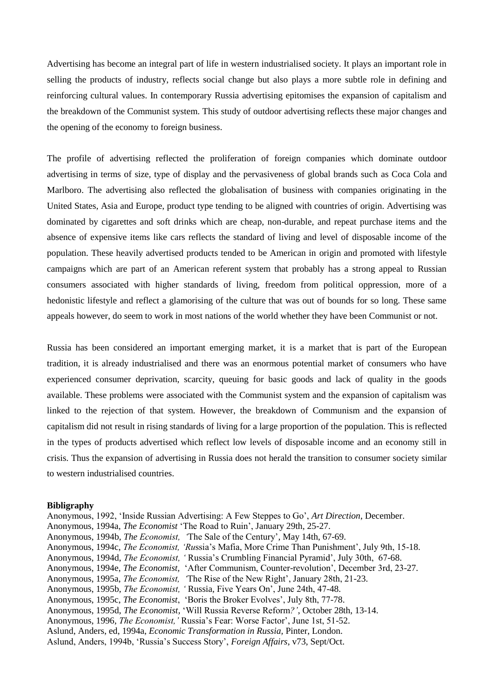Advertising has become an integral part of life in western industrialised society. It plays an important role in selling the products of industry, reflects social change but also plays a more subtle role in defining and reinforcing cultural values. In contemporary Russia advertising epitomises the expansion of capitalism and the breakdown of the Communist system. This study of outdoor advertising reflects these major changes and the opening of the economy to foreign business.

The profile of advertising reflected the proliferation of foreign companies which dominate outdoor advertising in terms of size, type of display and the pervasiveness of global brands such as Coca Cola and Marlboro. The advertising also reflected the globalisation of business with companies originating in the United States, Asia and Europe, product type tending to be aligned with countries of origin. Advertising was dominated by cigarettes and soft drinks which are cheap, non-durable, and repeat purchase items and the absence of expensive items like cars reflects the standard of living and level of disposable income of the population. These heavily advertised products tended to be American in origin and promoted with lifestyle campaigns which are part of an American referent system that probably has a strong appeal to Russian consumers associated with higher standards of living, freedom from political oppression, more of a hedonistic lifestyle and reflect a glamorising of the culture that was out of bounds for so long. These same appeals however, do seem to work in most nations of the world whether they have been Communist or not.

Russia has been considered an important emerging market, it is a market that is part of the European tradition, it is already industrialised and there was an enormous potential market of consumers who have experienced consumer deprivation, scarcity, queuing for basic goods and lack of quality in the goods available. These problems were associated with the Communist system and the expansion of capitalism was linked to the rejection of that system. However, the breakdown of Communism and the expansion of capitalism did not result in rising standards of living for a large proportion of the population. This is reflected in the types of products advertised which reflect low levels of disposable income and an economy still in crisis. Thus the expansion of advertising in Russia does not herald the transition to consumer society similar to western industrialised countries.

#### **Bibligraphy**

Anonymous, 1992, 'Inside Russian Advertising: A Few Steppes to Go', *Art Direction*, December. Anonymous, 1994a, *The Economist* 'The Road to Ruin', January 29th, 25-27. Anonymous, 1994b, *The Economist, '*The Sale of the Century'*,* May 14th, 67-69. Anonymous, 1994c, *The Economist, 'Ru*ssia's Mafia, More Crime Than Punishment', July 9th, 15-18. Anonymous, 1994d, *The Economist, '* Russia's Crumbling Financial Pyramid', July 30th, 67-68. Anonymous, 1994e, *The Economist,* 'After Communism, Counter-revolution', December 3rd, 23-27. Anonymous, 1995a, *The Economist, '*The Rise of the New Right', January 28th, 21-23. Anonymous, 1995b, *The Economist, '* Russia*,* Five Years On', June 24th, 47-48. Anonymous, 1995c, *The Economist*, 'Boris the Broker Evolves', July 8th, 77-78. Anonymous, 1995d, *The Economist,* 'Will Russia Reverse Reform*?'*, October 28th, 13-14. Anonymous, 1996, *The Economist,'* Russia's Fear: Worse Factor', June 1st, 51-52. Aslund, Anders, ed, 1994a, *Economic Transformation in Russia,* Pinter, London. Aslund, Anders, 1994b, 'Russia's Success Story', *Foreign Affairs*, v73, Sept/Oct.